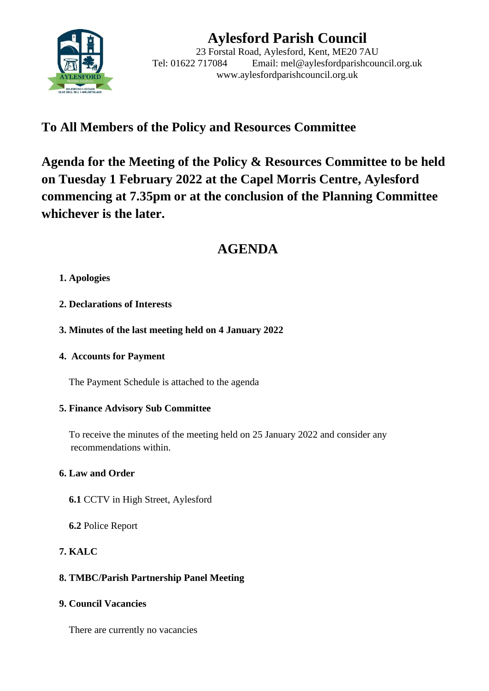

# **Aylesford Parish Council**

23 Forstal Road, Aylesford, Kent, ME20 7AU Tel: 01622 717084 Email: mel@aylesfordparishcouncil.org.uk www.aylesfordparishcouncil.org.uk

## **To All Members of the Policy and Resources Committee**

**Agenda for the Meeting of the Policy & Resources Committee to be held on Tuesday 1 February 2022 at the Capel Morris Centre, Aylesford commencing at 7.35pm or at the conclusion of the Planning Committee whichever is the later.**

## **AGENDA**

### **1. Apologies**

- **2. Declarations of Interests**
- **3. Minutes of the last meeting held on 4 January 2022**
- **4. Accounts for Payment**

The Payment Schedule is attached to the agenda

#### **5. Finance Advisory Sub Committee**

 To receive the minutes of the meeting held on 25 January 2022 and consider any recommendations within.

### **6. Law and Order**

- **6.1** CCTV in High Street, Aylesford
- **6.2** Police Report

### **7. KALC**

### **8. TMBC/Parish Partnership Panel Meeting**

#### **9. Council Vacancies**

There are currently no vacancies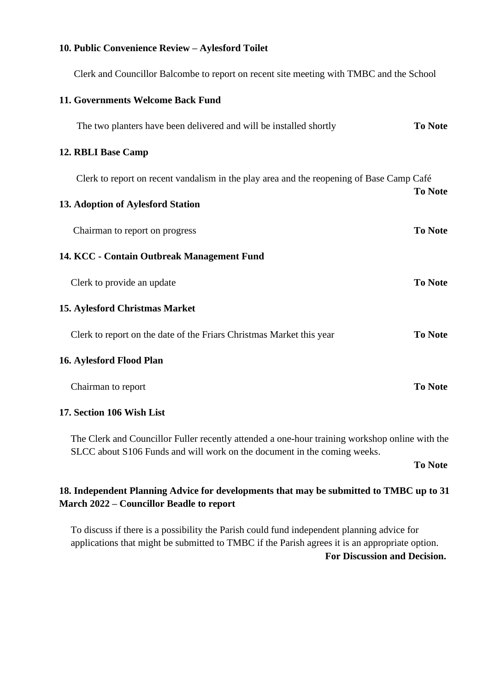#### **10. Public Convenience Review – Aylesford Toilet**

Clerk and Councillor Balcombe to report on recent site meeting with TMBC and the School

| 11. Governments Welcome Back Fund                                                                                                                                          |                |
|----------------------------------------------------------------------------------------------------------------------------------------------------------------------------|----------------|
| The two planters have been delivered and will be installed shortly                                                                                                         | <b>To Note</b> |
| 12. RBLI Base Camp                                                                                                                                                         |                |
| Clerk to report on recent vandalism in the play area and the reopening of Base Camp Café                                                                                   | <b>To Note</b> |
| 13. Adoption of Aylesford Station                                                                                                                                          |                |
| Chairman to report on progress                                                                                                                                             | <b>To Note</b> |
| 14. KCC - Contain Outbreak Management Fund                                                                                                                                 |                |
| Clerk to provide an update                                                                                                                                                 | <b>To Note</b> |
| <b>15. Aylesford Christmas Market</b>                                                                                                                                      |                |
| Clerk to report on the date of the Friars Christmas Market this year                                                                                                       | <b>To Note</b> |
| 16. Aylesford Flood Plan                                                                                                                                                   |                |
| Chairman to report                                                                                                                                                         | <b>To Note</b> |
| 17. Section 106 Wish List                                                                                                                                                  |                |
| The Clerk and Councillor Fuller recently attended a one-hour training workshop online with the<br>SLCC about S106 Funds and will work on the document in the coming weeks. |                |

**To Note**

### **18. Independent Planning Advice for developments that may be submitted to TMBC up to 31 March 2022 – Councillor Beadle to report**

To discuss if there is a possibility the Parish could fund independent planning advice for applications that might be submitted to TMBC if the Parish agrees it is an appropriate option. **For Discussion and Decision.**